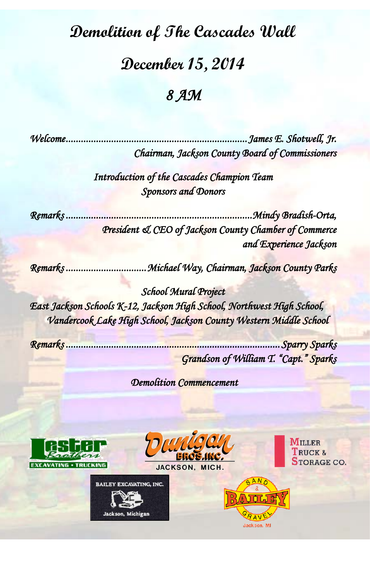## **Demolition of The Cascades Wall**

## **December 15, 2014**

## *8 AM*

*Welcome ........................................................................ James E. Shotwell, Jr. Chairman, Jackson County Board of Commissioners* 

> *Introduction of the Cascades Champion Team Sponsors and Donors*

*Remarks .......................................................................... Mindy Bradish-Orta, President & CEO of Jackson County Chamber of Commerce and Experience Jackson* 

*Remarks ................................ Michael Way, Chairman, Jackson County Parks* 

*School Mural Project East Jackson Schools K-12, Jackson High School, Northwest High School, Vandercook Lake High School, Jackson County Western Middle School* 

*Remarks ..................................................................................... Sparry Sparks Grandson of William T. "Capt." Sparks* 

 *Demolition Commencement* 





JACKSON, MICH.

**BAILEY EXCAVATING, INC.** 

Jackson, Michigan

 $\mathbf{M}_{\text{ILLER}}$ TRUCK & **STORAGE CO.**